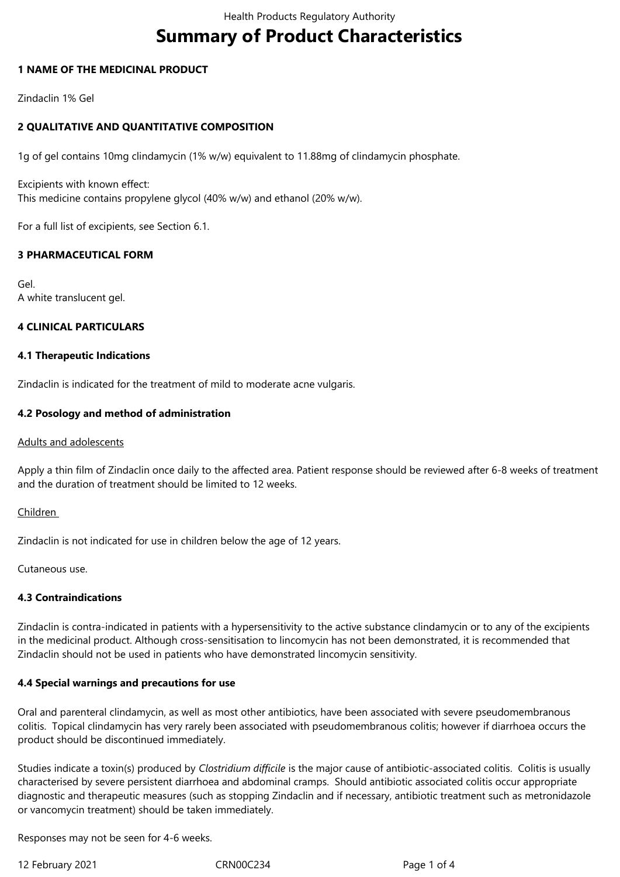# **Summary of Product Characteristics**

## **1 NAME OF THE MEDICINAL PRODUCT**

Zindaclin 1% Gel

# **2 QUALITATIVE AND QUANTITATIVE COMPOSITION**

1g of gel contains 10mg clindamycin (1% w/w) equivalent to 11.88mg of clindamycin phosphate.

Excipients with known effect: This medicine contains propylene glycol (40% w/w) and ethanol (20% w/w).

For a full list of excipients, see Section 6.1.

## **3 PHARMACEUTICAL FORM**

Gel. A white translucent gel.

#### **4 CLINICAL PARTICULARS**

#### **4.1 Therapeutic Indications**

Zindaclin is indicated for the treatment of mild to moderate acne vulgaris.

#### **4.2 Posology and method of administration**

#### Adults and adolescents

Apply a thin film of Zindaclin once daily to the affected area. Patient response should be reviewed after 6-8 weeks of treatment and the duration of treatment should be limited to 12 weeks.

#### Children

Zindaclin is not indicated for use in children below the age of 12 years.

Cutaneous use.

## **4.3 Contraindications**

Zindaclin is contra-indicated in patients with a hypersensitivity to the active substance clindamycin or to any of the excipients in the medicinal product. Although cross-sensitisation to lincomycin has not been demonstrated, it is recommended that Zindaclin should not be used in patients who have demonstrated lincomycin sensitivity.

#### **4.4 Special warnings and precautions for use**

Oral and parenteral clindamycin, as well as most other antibiotics, have been associated with severe pseudomembranous colitis. Topical clindamycin has very rarely been associated with pseudomembranous colitis; however if diarrhoea occurs the product should be discontinued immediately.

Studies indicate a toxin(s) produced by *Clostridium difficile* is the major cause of antibiotic-associated colitis. Colitis is usually characterised by severe persistent diarrhoea and abdominal cramps. Should antibiotic associated colitis occur appropriate diagnostic and therapeutic measures (such as stopping Zindaclin and if necessary, antibiotic treatment such as metronidazole or vancomycin treatment) should be taken immediately.

Responses may not be seen for 4-6 weeks.

12 February 2021 CRN00C234 Page 1 of 4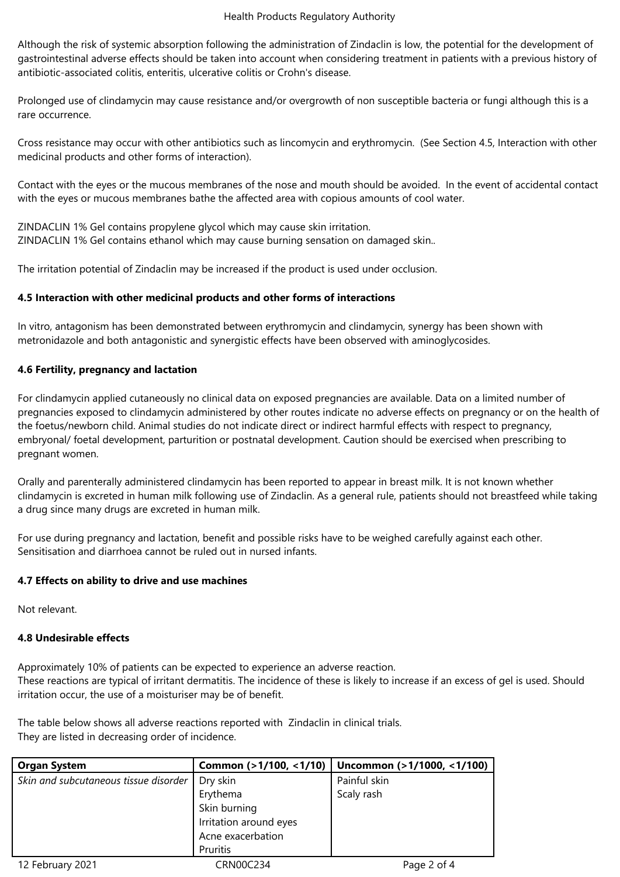Although the risk of systemic absorption following the administration of Zindaclin is low, the potential for the development of gastrointestinal adverse effects should be taken into account when considering treatment in patients with a previous history of antibiotic-associated colitis, enteritis, ulcerative colitis or Crohn's disease.

Prolonged use of clindamycin may cause resistance and/or overgrowth of non susceptible bacteria or fungi although this is a rare occurrence.

Cross resistance may occur with other antibiotics such as lincomycin and erythromycin. (See Section 4.5, Interaction with other medicinal products and other forms of interaction).

Contact with the eyes or the mucous membranes of the nose and mouth should be avoided. In the event of accidental contact with the eyes or mucous membranes bathe the affected area with copious amounts of cool water.

ZINDACLIN 1% Gel contains propylene glycol which may cause skin irritation. ZINDACLIN 1% Gel contains ethanol which may cause burning sensation on damaged skin..

The irritation potential of Zindaclin may be increased if the product is used under occlusion.

## **4.5 Interaction with other medicinal products and other forms of interactions**

In vitro, antagonism has been demonstrated between erythromycin and clindamycin, synergy has been shown with metronidazole and both antagonistic and synergistic effects have been observed with aminoglycosides.

## **4.6 Fertility, pregnancy and lactation**

For clindamycin applied cutaneously no clinical data on exposed pregnancies are available. Data on a limited number of pregnancies exposed to clindamycin administered by other routes indicate no adverse effects on pregnancy or on the health of the foetus/newborn child. Animal studies do not indicate direct or indirect harmful effects with respect to pregnancy, embryonal/ foetal development, parturition or postnatal development. Caution should be exercised when prescribing to pregnant women.

Orally and parenterally administered clindamycin has been reported to appear in breast milk. It is not known whether clindamycin is excreted in human milk following use of Zindaclin. As a general rule, patients should not breastfeed while taking a drug since many drugs are excreted in human milk.

For use during pregnancy and lactation, benefit and possible risks have to be weighed carefully against each other. Sensitisation and diarrhoea cannot be ruled out in nursed infants.

#### **4.7 Effects on ability to drive and use machines**

Not relevant.

# **4.8 Undesirable effects**

Approximately 10% of patients can be expected to experience an adverse reaction. These reactions are typical of irritant dermatitis. The incidence of these is likely to increase if an excess of gel is used. Should irritation occur, the use of a moisturiser may be of benefit.

The table below shows all adverse reactions reported with Zindaclin in clinical trials. They are listed in decreasing order of incidence.

| <b>Organ System</b>                   | Common (>1/100, <1/10) | Uncommon (>1/1000, <1/100) |
|---------------------------------------|------------------------|----------------------------|
| Skin and subcutaneous tissue disorder | Dry skin               | Painful skin               |
|                                       | Erythema               | Scaly rash                 |
|                                       | Skin burning           |                            |
|                                       | Irritation around eyes |                            |
|                                       | Acne exacerbation      |                            |
|                                       | Pruritis               |                            |
| 12 February 2021                      | CRN00C234              | Page 2 of 4                |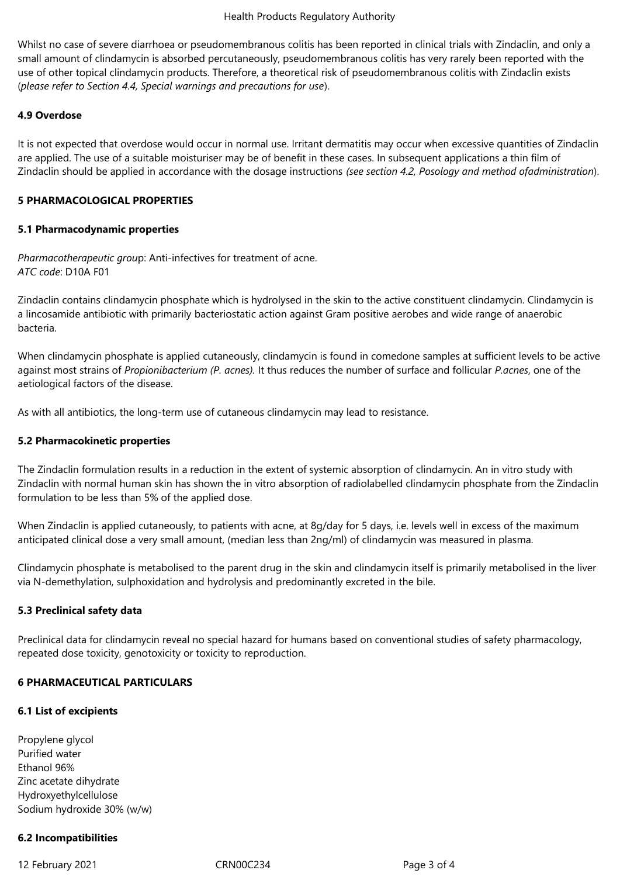Whilst no case of severe diarrhoea or pseudomembranous colitis has been reported in clinical trials with Zindaclin, and only a small amount of clindamycin is absorbed percutaneously, pseudomembranous colitis has very rarely been reported with the use of other topical clindamycin products. Therefore, a theoretical risk of pseudomembranous colitis with Zindaclin exists (*please refer to Section 4.4, Special warnings and precautions for use*).

## **4.9 Overdose**

It is not expected that overdose would occur in normal use. Irritant dermatitis may occur when excessive quantities of Zindaclin are applied. The use of a suitable moisturiser may be of benefit in these cases. In subsequent applications a thin film of Zindaclin should be applied in accordance with the dosage instructions *(see section 4.2, Posology and method ofadministration*).

## **5 PHARMACOLOGICAL PROPERTIES**

## **5.1 Pharmacodynamic properties**

*Pharmacotherapeutic grou*p: Anti-infectives for treatment of acne. *ATC code*: D10A F01

Zindaclin contains clindamycin phosphate which is hydrolysed in the skin to the active constituent clindamycin. Clindamycin is a lincosamide antibiotic with primarily bacteriostatic action against Gram positive aerobes and wide range of anaerobic bacteria.

When clindamycin phosphate is applied cutaneously, clindamycin is found in comedone samples at sufficient levels to be active against most strains of *Propionibacterium (P. acnes).* It thus reduces the number of surface and follicular *P.acnes*, one of the aetiological factors of the disease.

As with all antibiotics, the long-term use of cutaneous clindamycin may lead to resistance.

## **5.2 Pharmacokinetic properties**

The Zindaclin formulation results in a reduction in the extent of systemic absorption of clindamycin. An in vitro study with Zindaclin with normal human skin has shown the in vitro absorption of radiolabelled clindamycin phosphate from the Zindaclin formulation to be less than 5% of the applied dose.

When Zindaclin is applied cutaneously, to patients with acne, at 8q/day for 5 days, i.e. levels well in excess of the maximum anticipated clinical dose a very small amount, (median less than 2ng/ml) of clindamycin was measured in plasma.

Clindamycin phosphate is metabolised to the parent drug in the skin and clindamycin itself is primarily metabolised in the liver via N-demethylation, sulphoxidation and hydrolysis and predominantly excreted in the bile.

# **5.3 Preclinical safety data**

Preclinical data for clindamycin reveal no special hazard for humans based on conventional studies of safety pharmacology, repeated dose toxicity, genotoxicity or toxicity to reproduction.

# **6 PHARMACEUTICAL PARTICULARS**

# **6.1 List of excipients**

Propylene glycol Purified water Ethanol 96% Zinc acetate dihydrate Hydroxyethylcellulose Sodium hydroxide 30% (w/w)

# **6.2 Incompatibilities**

12 February 2021 CRN00C234 Page 3 of 4